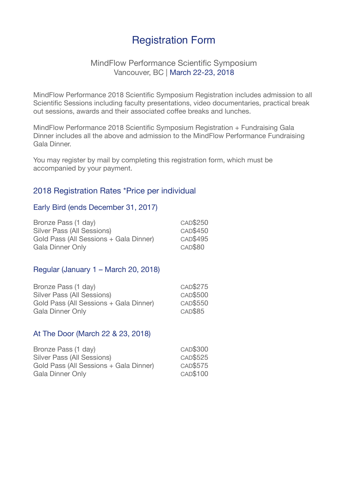# Registration Form

### MindFlow Performance Scientific Symposium Vancouver, BC | March 22-23, 2018

MindFlow Performance 2018 Scientific Symposium Registration includes admission to all Scientific Sessions including faculty presentations, video documentaries, practical break out sessions, awards and their associated coffee breaks and lunches.

MindFlow Performance 2018 Scientific Symposium Registration + Fundraising Gala Dinner includes all the above and admission to the MindFlow Performance Fundraising Gala Dinner.

You may register by mail by completing this registration form, which must be accompanied by your payment.

# 2018 Registration Rates \*Price per individual

#### Early Bird (ends December 31, 2017)

| Bronze Pass (1 day)                    | CAD\$250       |
|----------------------------------------|----------------|
| <b>Silver Pass (All Sessions)</b>      | CAD\$450       |
| Gold Pass (All Sessions + Gala Dinner) | CAD\$495       |
| <b>Gala Dinner Only</b>                | <b>CAD\$80</b> |

#### Regular (January 1 – March 20, 2018)

| Bronze Pass (1 day)                    | CAD\$275 |
|----------------------------------------|----------|
| Silver Pass (All Sessions)             | CAD\$500 |
| Gold Pass (All Sessions + Gala Dinner) | CAD\$550 |
| Gala Dinner Only                       | CAD\$85  |

#### At The Door (March 22 & 23, 2018)

| Bronze Pass (1 day)                    | CAD\$300 |
|----------------------------------------|----------|
| Silver Pass (All Sessions)             | CAD\$525 |
| Gold Pass (All Sessions + Gala Dinner) | CAD\$575 |
| Gala Dinner Only                       | CAD\$100 |